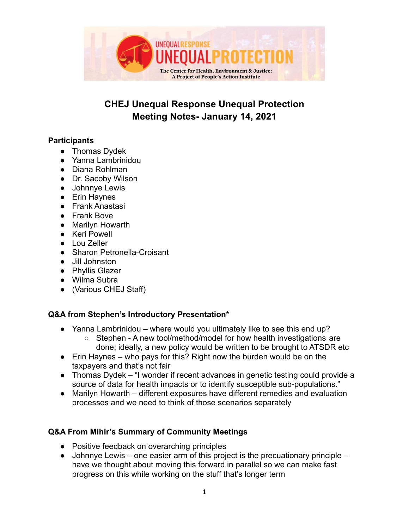

## **CHEJ Unequal Response Unequal Protection Meeting Notes- January 14, 2021**

## **Participants**

- Thomas Dydek
- Yanna Lambrinidou
- Diana Rohlman
- Dr. Sacoby Wilson
- Johnnye Lewis
- Erin Haynes
- Frank Anastasi
- Frank Bove
- Marilyn Howarth
- Keri Powell
- Lou Zeller
- Sharon Petronella-Croisant
- Jill Johnston
- Phyllis Glazer
- Wilma Subra
- (Various CHEJ Staff)

## **Q&A from Stephen's Introductory Presentation\***

- Yanna Lambrinidou where would you ultimately like to see this end up?
	- Stephen A new tool/method/model for how health investigations are done; ideally, a new policy would be written to be brought to ATSDR etc
- $\bullet$  Erin Haynes who pays for this? Right now the burden would be on the taxpayers and that's not fair
- Thomas Dydek "I wonder if recent advances in genetic testing could provide a source of data for health impacts or to identify susceptible sub-populations."
- Marilyn Howarth different exposures have different remedies and evaluation processes and we need to think of those scenarios separately

## **Q&A From Mihir's Summary of Community Meetings**

- Positive feedback on overarching principles
- $\bullet$  Johnnye Lewis one easier arm of this project is the precuationary principle have we thought about moving this forward in parallel so we can make fast progress on this while working on the stuff that's longer term